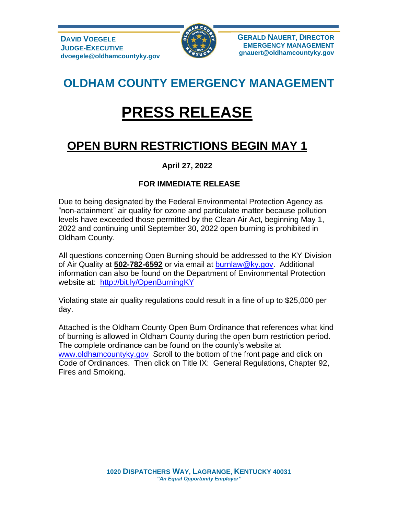

**GERALD NAUERT, DIRECTOR EMERGENCY MANAGEMENT gnauert@oldhamcountyky.gov**

## **OLDHAM COUNTY EMERGENCY MANAGEMENT**

# **PRESS RELEASE**

## **OPEN BURN RESTRICTIONS BEGIN MAY 1**

### **April 27, 2022**

#### **FOR IMMEDIATE RELEASE**

Due to being designated by the Federal Environmental Protection Agency as "non-attainment" air quality for ozone and particulate matter because pollution levels have exceeded those permitted by the Clean Air Act, beginning May 1, 2022 and continuing until September 30, 2022 open burning is prohibited in Oldham County.

All questions concerning Open Burning should be addressed to the KY Division of Air Quality at **502-782-6592** or via email at [burnlaw@ky.gov.](mailto:burnlaw@ky.gov) Additional information can also be found on the Department of Environmental Protection website at: <http://bit.ly/OpenBurningKY>

Violating state air quality regulations could result in a fine of up to \$25,000 per day.

Attached is the Oldham County Open Burn Ordinance that references what kind of burning is allowed in Oldham County during the open burn restriction period. The complete ordinance can be found on the county's website at [www.oldhamcountyky.gov](http://www.oldhamcountyky.gov/) Scroll to the bottom of the front page and click on Code of Ordinances. Then click on Title IX: General Regulations, Chapter 92, Fires and Smoking.